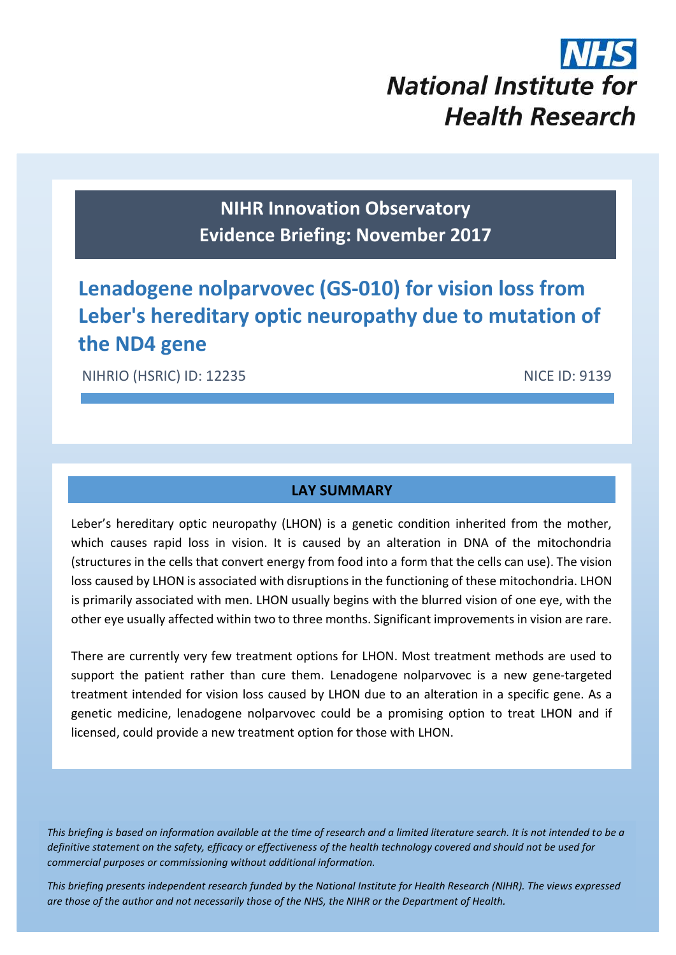# **National Institute for Health Research**

# **NIHR Innovation Observatory Evidence Briefing: November 2017**

# **Lenadogene nolparvovec (GS-010) for vision loss from Leber's hereditary optic neuropathy due to mutation of the ND4 gene**

NIHRIO (HSRIC) ID: 12235 NICE ID: 9139

# **LAY SUMMARY**

Leber's hereditary optic neuropathy (LHON) is a genetic condition inherited from the mother, which causes rapid loss in vision. It is caused by an alteration in DNA of the mitochondria (structures in the cells that convert energy from food into a form that the cells can use). The vision loss caused by LHON is associated with disruptions in the functioning of these mitochondria. LHON is primarily associated with men. LHON usually begins with the blurred vision of one eye, with the other eye usually affected within two to three months. Significant improvements in vision are rare.

There are currently very few treatment options for LHON. Most treatment methods are used to support the patient rather than cure them. Lenadogene nolparvovec is a new gene-targeted treatment intended for vision loss caused by LHON due to an alteration in a specific gene. As a genetic medicine, lenadogene nolparvovec could be a promising option to treat LHON and if licensed, could provide a new treatment option for those with LHON.

*This briefing is based on information available at the time of research and a limited literature search. It is not intended to be a definitive statement on the safety, efficacy or effectiveness of the health technology covered and should not be used for commercial purposes or commissioning without additional information.*

1 *This briefing presents independent research funded by the National Institute for Health Research (NIHR). The views expressed are those of the author and not necessarily those of the NHS, the NIHR or the Department of Health.*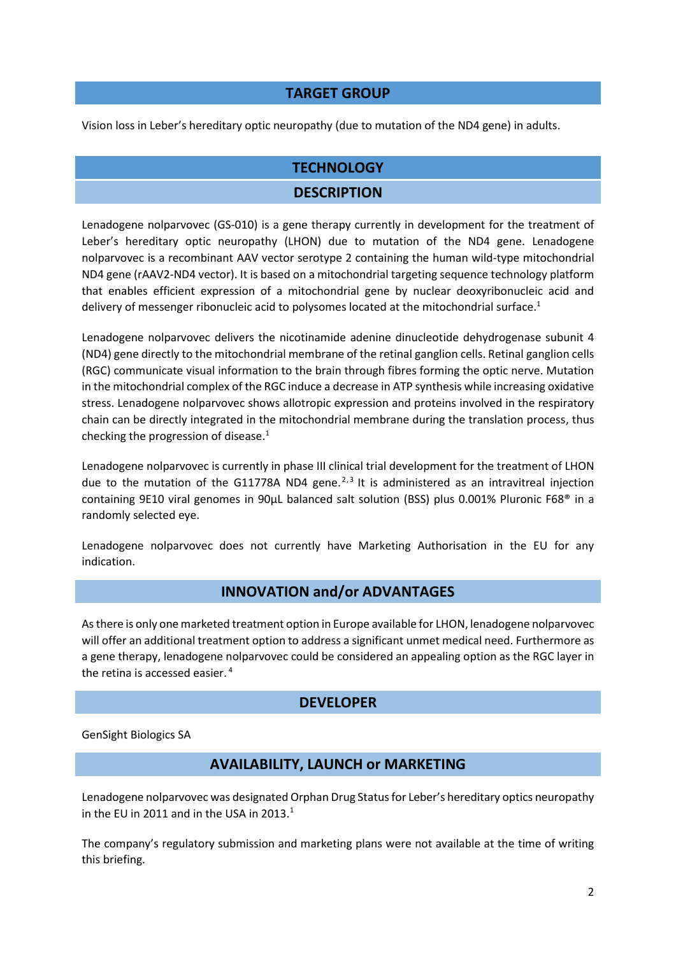# **TARGET GROUP**

Vision loss in Leber's hereditary optic neuropathy (due to mutation of the ND4 gene) in adults.

# **TECHNOLOGY**

## **DESCRIPTION**

Lenadogene nolparvovec (GS-010) is a gene therapy currently in development for the treatment of Leber's hereditary optic neuropathy (LHON) due to mutation of the ND4 gene. Lenadogene nolparvovec is a recombinant AAV vector serotype 2 containing the human wild-type mitochondrial ND4 gene (rAAV2-ND4 vector). It is based on a mitochondrial targeting sequence technology platform that enables efficient expression of a mitochondrial gene by nuclear deoxyribonucleic acid and delivery of messenger ribonucleic acid to polysomes located at the mitochondrial surface.<sup>1</sup>

Lenadogene nolparvovec delivers the nicotinamide adenine dinucleotide dehydrogenase subunit 4 (ND4) gene directly to the mitochondrial membrane of the retinal ganglion cells. Retinal ganglion cells (RGC) communicate visual information to the brain through fibres forming the optic nerve. Mutation in the mitochondrial complex of the RGC induce a decrease in ATP synthesis while increasing oxidative stress. Lenadogene nolparvovec shows allotropic expression and proteins involved in the respiratory chain can be directly integrated in the mitochondrial membrane during the translation process, thus checking the progression of disease.<sup>1</sup>

Lenadogene nolparvovec is currently in phase III clinical trial development for the treatment of LHON due to the mutation of the G11778A ND4 gene. $2,3$  It is administered as an intravitreal injection containing 9E10 viral genomes in 90μL balanced salt solution (BSS) plus 0.001% Pluronic F68® in a randomly selected eye.

Lenadogene nolparvovec does not currently have Marketing Authorisation in the EU for any indication.

# **INNOVATION and/or ADVANTAGES**

As there is only one marketed treatment option in Europe available for LHON, lenadogene nolparvovec will offer an additional treatment option to address a significant unmet medical need. Furthermore as a gene therapy, lenadogene nolparvovec could be considered an appealing option as the RGC layer in the retina is accessed easier. <sup>4</sup>

#### **DEVELOPER**

GenSight Biologics SA

# **AVAILABILITY, LAUNCH or MARKETING**

Lenadogene nolparvovec was designated Orphan Drug Status for Leber's hereditary optics neuropathy in the EU in 2011 and in the USA in 2013. $1$ 

The company's regulatory submission and marketing plans were not available at the time of writing this briefing.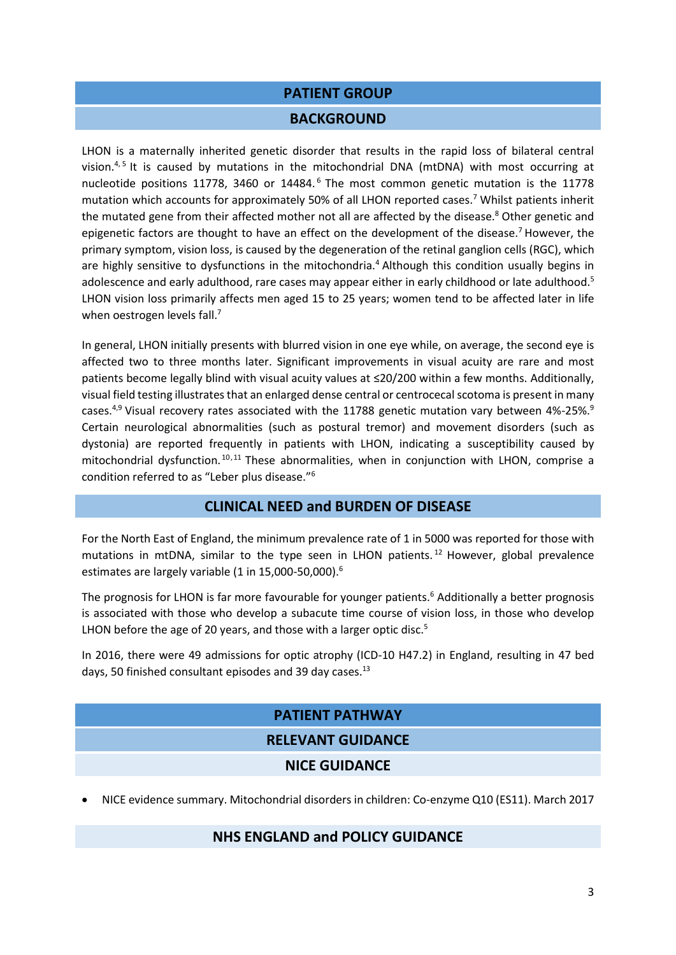# **PATIENT GROUP**

#### **BACKGROUND**

LHON is a maternally inherited genetic disorder that results in the rapid loss of bilateral central vision.<sup>4,5</sup> It is caused by mutations in the mitochondrial DNA (mtDNA) with most occurring at nucleotide positions 11778, 3460 or 14484.<sup>6</sup> The most common genetic mutation is the 11778 mutation which accounts for approximately 50% of all LHON reported cases.<sup>7</sup> Whilst patients inherit the mutated gene from their affected mother not all are affected by the disease.<sup>8</sup> Other genetic and epigenetic factors are thought to have an effect on the development of the disease.<sup>7</sup> However, the primary symptom, vision loss, is caused by the degeneration of the retinal ganglion cells (RGC), which are highly sensitive to dysfunctions in the mitochondria.<sup>4</sup> Although this condition usually begins in adolescence and early adulthood, rare cases may appear either in early childhood or late adulthood.<sup>5</sup> LHON vision loss primarily affects men aged 15 to 25 years; women tend to be affected later in life when oestrogen levels fall.<sup>7</sup>

In general, LHON initially presents with blurred vision in one eye while, on average, the second eye is affected two to three months later. Significant improvements in visual acuity are rare and most patients become legally blind with visual acuity values at ≤20/200 within a few months. Additionally, visual field testing illustrates that an enlarged dense central or centrocecal scotoma is present in many cases.<sup>4,9</sup> Visual recovery rates associated with the 11788 genetic mutation vary between 4%-25%.<sup>9</sup> Certain neurological abnormalities (such as postural tremor) and movement disorders (such as dystonia) are reported frequently in patients with LHON, indicating a susceptibility caused by mitochondrial dysfunction. 10,11 These abnormalities, when in conjunction with LHON, comprise a condition referred to as "Leber plus disease."<sup>6</sup>

# **CLINICAL NEED and BURDEN OF DISEASE**

For the North East of England, the minimum prevalence rate of 1 in 5000 was reported for those with mutations in mtDNA, similar to the type seen in LHON patients. <sup>12</sup> However, global prevalence estimates are largely variable (1 in 15,000-50,000).<sup>6</sup>

The prognosis for LHON is far more favourable for younger patients.<sup>6</sup> Additionally a better prognosis is associated with those who develop a subacute time course of vision loss, in those who develop LHON before the age of 20 years, and those with a larger optic disc.<sup>5</sup>

In 2016, there were 49 admissions for optic atrophy (ICD-10 H47.2) in England, resulting in 47 bed days, 50 finished consultant episodes and 39 day cases.<sup>13</sup>

# **PATIENT PATHWAY RELEVANT GUIDANCE NICE GUIDANCE**

NICE evidence summary. Mitochondrial disorders in children: Co-enzyme Q10 (ES11). March 2017

#### **NHS ENGLAND and POLICY GUIDANCE**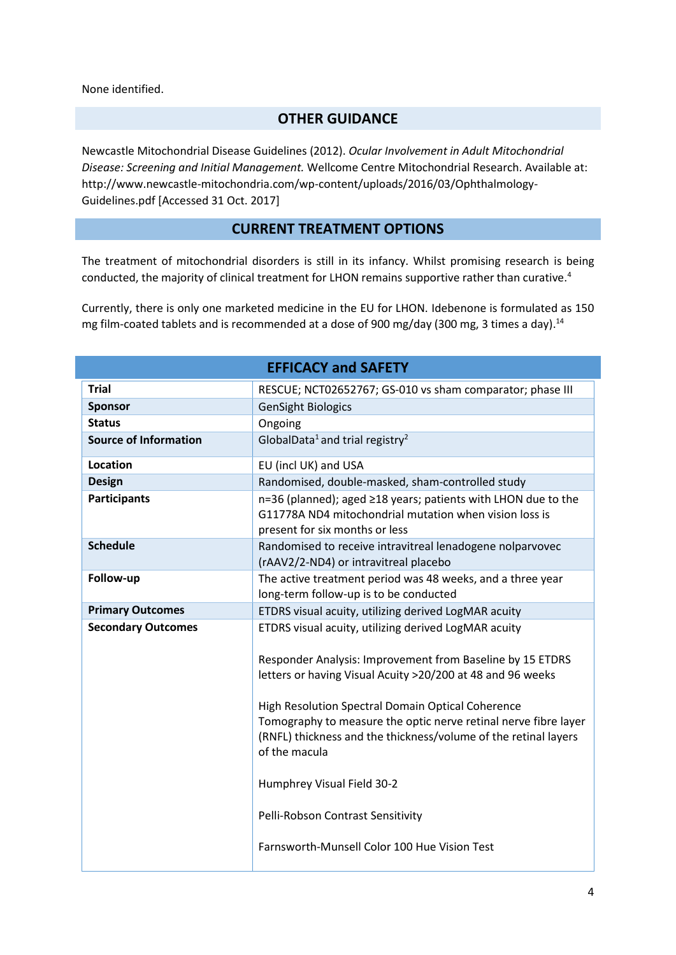None identified.

# **OTHER GUIDANCE**

Newcastle Mitochondrial Disease Guidelines (2012). *Ocular Involvement in Adult Mitochondrial Disease: Screening and Initial Management.* Wellcome Centre Mitochondrial Research. Available at: http://www.newcastle-mitochondria.com/wp-content/uploads/2016/03/Ophthalmology-Guidelines.pdf [Accessed 31 Oct. 2017]

# **CURRENT TREATMENT OPTIONS**

The treatment of mitochondrial disorders is still in its infancy. Whilst promising research is being conducted, the majority of clinical treatment for LHON remains supportive rather than curative.<sup>4</sup>

Currently, there is only one marketed medicine in the EU for LHON. Idebenone is formulated as 150 mg film-coated tablets and is recommended at a dose of 900 mg/day (300 mg, 3 times a day).<sup>14</sup>

| <b>EFFICACY and SAFETY</b>   |                                                                                                                                                                                                                                                                                                                                                                                                                                                                                                                |  |
|------------------------------|----------------------------------------------------------------------------------------------------------------------------------------------------------------------------------------------------------------------------------------------------------------------------------------------------------------------------------------------------------------------------------------------------------------------------------------------------------------------------------------------------------------|--|
| <b>Trial</b>                 | RESCUE; NCT02652767; GS-010 vs sham comparator; phase III                                                                                                                                                                                                                                                                                                                                                                                                                                                      |  |
| <b>Sponsor</b>               | <b>GenSight Biologics</b>                                                                                                                                                                                                                                                                                                                                                                                                                                                                                      |  |
| <b>Status</b>                | Ongoing                                                                                                                                                                                                                                                                                                                                                                                                                                                                                                        |  |
| <b>Source of Information</b> | GlobalData <sup>1</sup> and trial registry <sup>2</sup>                                                                                                                                                                                                                                                                                                                                                                                                                                                        |  |
| <b>Location</b>              | EU (incl UK) and USA                                                                                                                                                                                                                                                                                                                                                                                                                                                                                           |  |
| <b>Design</b>                | Randomised, double-masked, sham-controlled study                                                                                                                                                                                                                                                                                                                                                                                                                                                               |  |
| <b>Participants</b>          | n=36 (planned); aged ≥18 years; patients with LHON due to the<br>G11778A ND4 mitochondrial mutation when vision loss is<br>present for six months or less                                                                                                                                                                                                                                                                                                                                                      |  |
| <b>Schedule</b>              | Randomised to receive intravitreal lenadogene nolparvovec<br>(rAAV2/2-ND4) or intravitreal placebo                                                                                                                                                                                                                                                                                                                                                                                                             |  |
| Follow-up                    | The active treatment period was 48 weeks, and a three year<br>long-term follow-up is to be conducted                                                                                                                                                                                                                                                                                                                                                                                                           |  |
| <b>Primary Outcomes</b>      | ETDRS visual acuity, utilizing derived LogMAR acuity                                                                                                                                                                                                                                                                                                                                                                                                                                                           |  |
| <b>Secondary Outcomes</b>    | ETDRS visual acuity, utilizing derived LogMAR acuity<br>Responder Analysis: Improvement from Baseline by 15 ETDRS<br>letters or having Visual Acuity >20/200 at 48 and 96 weeks<br>High Resolution Spectral Domain Optical Coherence<br>Tomography to measure the optic nerve retinal nerve fibre layer<br>(RNFL) thickness and the thickness/volume of the retinal layers<br>of the macula<br>Humphrey Visual Field 30-2<br>Pelli-Robson Contrast Sensitivity<br>Farnsworth-Munsell Color 100 Hue Vision Test |  |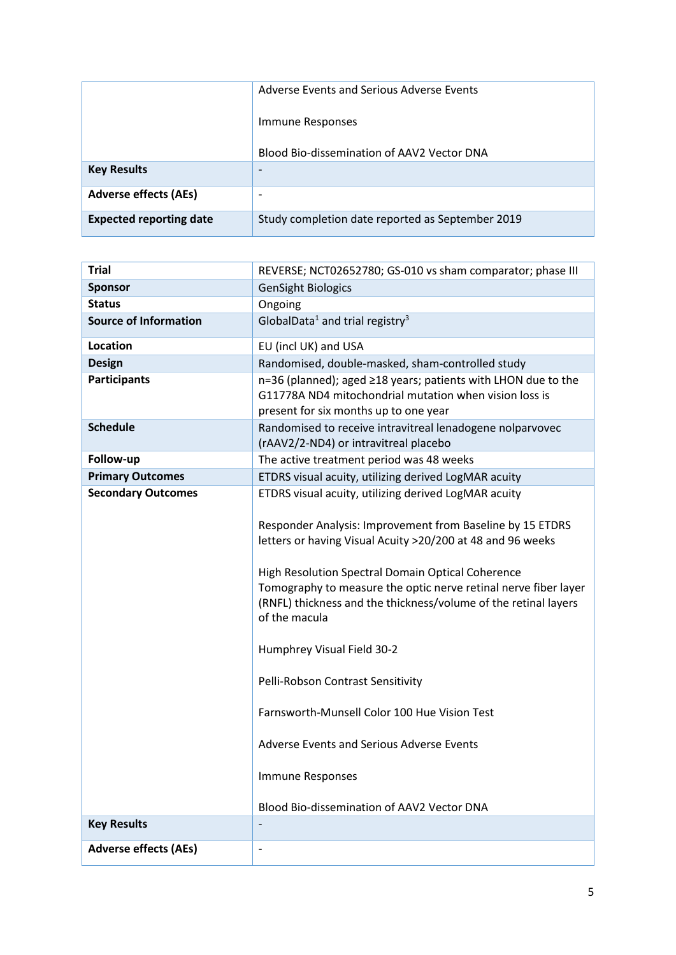|                                | Adverse Events and Serious Adverse Events        |  |
|--------------------------------|--------------------------------------------------|--|
|                                | Immune Responses                                 |  |
|                                | Blood Bio-dissemination of AAV2 Vector DNA       |  |
| <b>Key Results</b>             | -                                                |  |
| <b>Adverse effects (AEs)</b>   | ۰                                                |  |
| <b>Expected reporting date</b> | Study completion date reported as September 2019 |  |

| <b>Trial</b>                 | REVERSE; NCT02652780; GS-010 vs sham comparator; phase III                                                                                                                                                                                                                                                                                                                                                                                                                                                                                                                      |  |
|------------------------------|---------------------------------------------------------------------------------------------------------------------------------------------------------------------------------------------------------------------------------------------------------------------------------------------------------------------------------------------------------------------------------------------------------------------------------------------------------------------------------------------------------------------------------------------------------------------------------|--|
| <b>Sponsor</b>               | <b>GenSight Biologics</b>                                                                                                                                                                                                                                                                                                                                                                                                                                                                                                                                                       |  |
| <b>Status</b>                | Ongoing                                                                                                                                                                                                                                                                                                                                                                                                                                                                                                                                                                         |  |
| <b>Source of Information</b> | GlobalData <sup>1</sup> and trial registry <sup>3</sup>                                                                                                                                                                                                                                                                                                                                                                                                                                                                                                                         |  |
| <b>Location</b>              | EU (incl UK) and USA                                                                                                                                                                                                                                                                                                                                                                                                                                                                                                                                                            |  |
| <b>Design</b>                | Randomised, double-masked, sham-controlled study                                                                                                                                                                                                                                                                                                                                                                                                                                                                                                                                |  |
| <b>Participants</b>          | n=36 (planned); aged ≥18 years; patients with LHON due to the<br>G11778A ND4 mitochondrial mutation when vision loss is<br>present for six months up to one year                                                                                                                                                                                                                                                                                                                                                                                                                |  |
| <b>Schedule</b>              | Randomised to receive intravitreal lenadogene nolparvovec<br>(rAAV2/2-ND4) or intravitreal placebo                                                                                                                                                                                                                                                                                                                                                                                                                                                                              |  |
| Follow-up                    | The active treatment period was 48 weeks                                                                                                                                                                                                                                                                                                                                                                                                                                                                                                                                        |  |
| <b>Primary Outcomes</b>      | ETDRS visual acuity, utilizing derived LogMAR acuity                                                                                                                                                                                                                                                                                                                                                                                                                                                                                                                            |  |
| <b>Secondary Outcomes</b>    | ETDRS visual acuity, utilizing derived LogMAR acuity<br>Responder Analysis: Improvement from Baseline by 15 ETDRS<br>letters or having Visual Acuity >20/200 at 48 and 96 weeks<br>High Resolution Spectral Domain Optical Coherence<br>Tomography to measure the optic nerve retinal nerve fiber layer<br>(RNFL) thickness and the thickness/volume of the retinal layers<br>of the macula<br>Humphrey Visual Field 30-2<br>Pelli-Robson Contrast Sensitivity<br>Farnsworth-Munsell Color 100 Hue Vision Test<br>Adverse Events and Serious Adverse Events<br>Immune Responses |  |
|                              | Blood Bio-dissemination of AAV2 Vector DNA                                                                                                                                                                                                                                                                                                                                                                                                                                                                                                                                      |  |
| <b>Key Results</b>           |                                                                                                                                                                                                                                                                                                                                                                                                                                                                                                                                                                                 |  |
| <b>Adverse effects (AEs)</b> | $\overline{\phantom{a}}$                                                                                                                                                                                                                                                                                                                                                                                                                                                                                                                                                        |  |
|                              |                                                                                                                                                                                                                                                                                                                                                                                                                                                                                                                                                                                 |  |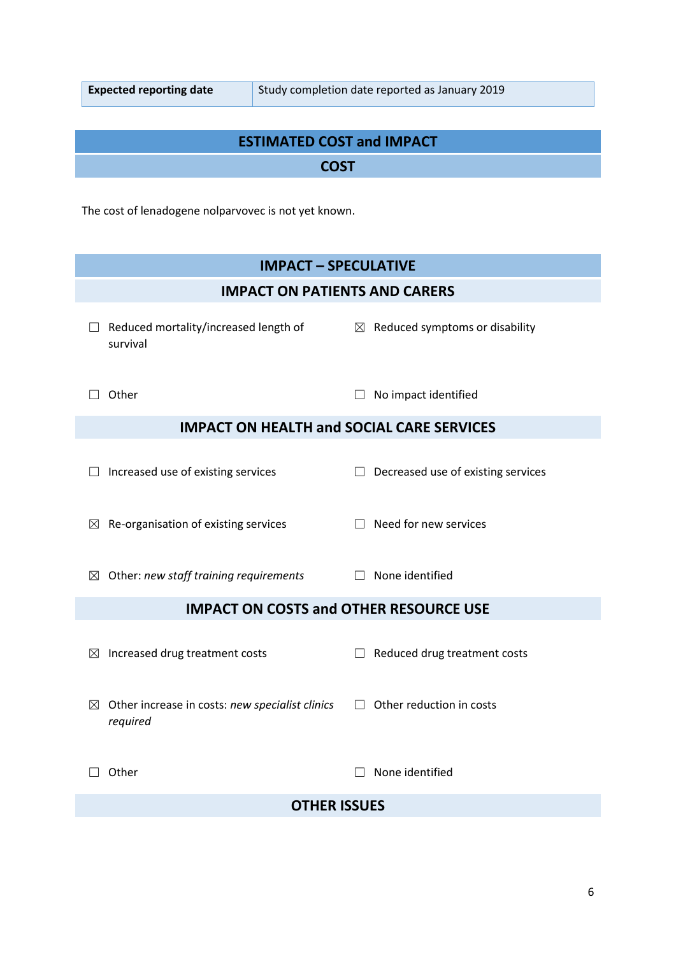I

# **ESTIMATED COST and IMPACT**

# **COST**

The cost of lenadogene nolparvovec is not yet known.

| <b>IMPACT - SPECULATIVE</b>                                                |                                            |  |  |  |
|----------------------------------------------------------------------------|--------------------------------------------|--|--|--|
| <b>IMPACT ON PATIENTS AND CARERS</b>                                       |                                            |  |  |  |
| Reduced mortality/increased length of<br>survival                          | $\boxtimes$ Reduced symptoms or disability |  |  |  |
| Other                                                                      | No impact identified                       |  |  |  |
| <b>IMPACT ON HEALTH and SOCIAL CARE SERVICES</b>                           |                                            |  |  |  |
| Increased use of existing services                                         | Decreased use of existing services         |  |  |  |
| Re-organisation of existing services<br>$\boxtimes$                        | Need for new services                      |  |  |  |
| Other: new staff training requirements<br>$\bowtie$                        | None identified                            |  |  |  |
| <b>IMPACT ON COSTS and OTHER RESOURCE USE</b>                              |                                            |  |  |  |
| Increased drug treatment costs<br>$\boxtimes$                              | Reduced drug treatment costs<br>$\perp$    |  |  |  |
| Other increase in costs: new specialist clinics<br>$\boxtimes$<br>required | Other reduction in costs<br>$\Box$         |  |  |  |
| Other                                                                      | None identified                            |  |  |  |
| <b>OTHER ISSUES</b>                                                        |                                            |  |  |  |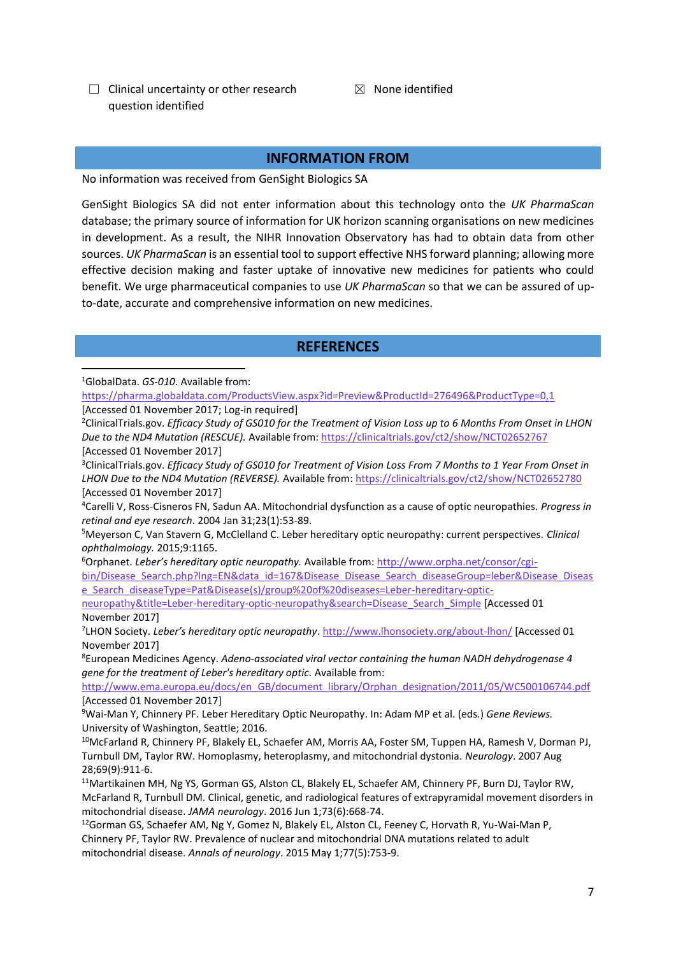- $\Box$  Clinical uncertainty or other research question identified
- $<sup>8</sup>$  None identified</sup>

#### **INFORMATION FROM**

No information was received from GenSight Biologics SA

GenSight Biologics SA did not enter information about this technology onto the *UK PharmaScan* database; the primary source of information for UK horizon scanning organisations on new medicines in development. As a result, the NIHR Innovation Observatory has had to obtain data from other sources. *UK PharmaScan* is an essential tool to support effective NHS forward planning; allowing more effective decision making and faster uptake of innovative new medicines for patients who could benefit. We urge pharmaceutical companies to use *UK PharmaScan* so that we can be assured of upto-date, accurate and comprehensive information on new medicines.

#### **REFERENCES**

<sup>1</sup>GlobalData. *GS-010*. Available from:

**.** 

<https://pharma.globaldata.com/ProductsView.aspx?id=Preview&ProductId=276496&ProductType=0,1> [Accessed 01 November 2017; Log-in required]

<sup>2</sup>ClinicalTrials.gov. *Efficacy Study of GS010 for the Treatment of Vision Loss up to 6 Months From Onset in LHON Due to the ND4 Mutation (RESCUE).* Available from: <https://clinicaltrials.gov/ct2/show/NCT02652767> [Accessed 01 November 2017]

<sup>3</sup>ClinicalTrials.gov. *Efficacy Study of GS010 for Treatment of Vision Loss From 7 Months to 1 Year From Onset in LHON Due to the ND4 Mutation (REVERSE).* Available from: <https://clinicaltrials.gov/ct2/show/NCT02652780> [Accessed 01 November 2017]

<sup>4</sup>Carelli V, Ross-Cisneros FN, Sadun AA. Mitochondrial dysfunction as a cause of optic neuropathies. *Progress in retinal and eye research*. 2004 Jan 31;23(1):53-89.

<sup>5</sup>Meyerson C, Van Stavern G, McClelland C. Leber hereditary optic neuropathy: current perspectives. *Clinical ophthalmology.* 2015;9:1165.

<sup>6</sup>Orphanet. *Leber's hereditary optic neuropathy.* Available from: [http://www.orpha.net/consor/cgi-](http://www.orpha.net/consor/cgi-bin/Disease_Search.php?lng=EN&data_id=167&Disease_Disease_Search_diseaseGroup=leber&Disease_Disease_Search_diseaseType=Pat&Disease(s)/group%20of%20diseases=Leber-hereditary-optic-neuropathy&title=Leber-hereditary-optic-neuropathy&search=Disease_Search_Simple)

[bin/Disease\\_Search.php?lng=EN&data\\_id=167&Disease\\_Disease\\_Search\\_diseaseGroup=leber&Disease\\_Diseas](http://www.orpha.net/consor/cgi-bin/Disease_Search.php?lng=EN&data_id=167&Disease_Disease_Search_diseaseGroup=leber&Disease_Disease_Search_diseaseType=Pat&Disease(s)/group%20of%20diseases=Leber-hereditary-optic-neuropathy&title=Leber-hereditary-optic-neuropathy&search=Disease_Search_Simple) [e\\_Search\\_diseaseType=Pat&Disease\(s\)/group%20of%20diseases=Leber-hereditary-optic-](http://www.orpha.net/consor/cgi-bin/Disease_Search.php?lng=EN&data_id=167&Disease_Disease_Search_diseaseGroup=leber&Disease_Disease_Search_diseaseType=Pat&Disease(s)/group%20of%20diseases=Leber-hereditary-optic-neuropathy&title=Leber-hereditary-optic-neuropathy&search=Disease_Search_Simple)

[neuropathy&title=Leber-hereditary-optic-neuropathy&search=Disease\\_Search\\_Simple](http://www.orpha.net/consor/cgi-bin/Disease_Search.php?lng=EN&data_id=167&Disease_Disease_Search_diseaseGroup=leber&Disease_Disease_Search_diseaseType=Pat&Disease(s)/group%20of%20diseases=Leber-hereditary-optic-neuropathy&title=Leber-hereditary-optic-neuropathy&search=Disease_Search_Simple) [Accessed 01 November 2017]

7 LHON Society. *Leber's hereditary optic neuropathy*. <http://www.lhonsociety.org/about-lhon/> [Accessed 01 November 2017]

<sup>8</sup>European Medicines Agency. *Adeno-associated viral vector containing the human NADH dehydrogenase 4 gene for the treatment of Leber's hereditary optic.* Available from:

[http://www.ema.europa.eu/docs/en\\_GB/document\\_library/Orphan\\_designation/2011/05/WC500106744.pdf](http://www.ema.europa.eu/docs/en_GB/document_library/Orphan_designation/2011/05/WC500106744.pdf) [Accessed 01 November 2017]

<sup>9</sup>Wai-Man Y, Chinnery PF. Leber Hereditary Optic Neuropathy. In: Adam MP et al. (eds.) *Gene Reviews.*  University of Washington, Seattle; 2016.

<sup>10</sup>McFarland R, Chinnery PF, Blakely EL, Schaefer AM, Morris AA, Foster SM, Tuppen HA, Ramesh V, Dorman PJ, Turnbull DM, Taylor RW. Homoplasmy, heteroplasmy, and mitochondrial dystonia. *Neurology*. 2007 Aug 28;69(9):911-6.

<sup>11</sup>Martikainen MH, Ng YS, Gorman GS, Alston CL, Blakely EL, Schaefer AM, Chinnery PF, Burn DJ, Taylor RW, McFarland R, Turnbull DM. Clinical, genetic, and radiological features of extrapyramidal movement disorders in mitochondrial disease. *JAMA neurology*. 2016 Jun 1;73(6):668-74.

<sup>12</sup>Gorman GS, Schaefer AM, Ng Y, Gomez N, Blakely EL, Alston CL, Feeney C, Horvath R, Yu-Wai-Man P, Chinnery PF, Taylor RW. Prevalence of nuclear and mitochondrial DNA mutations related to adult mitochondrial disease. *Annals of neurology*. 2015 May 1;77(5):753-9.